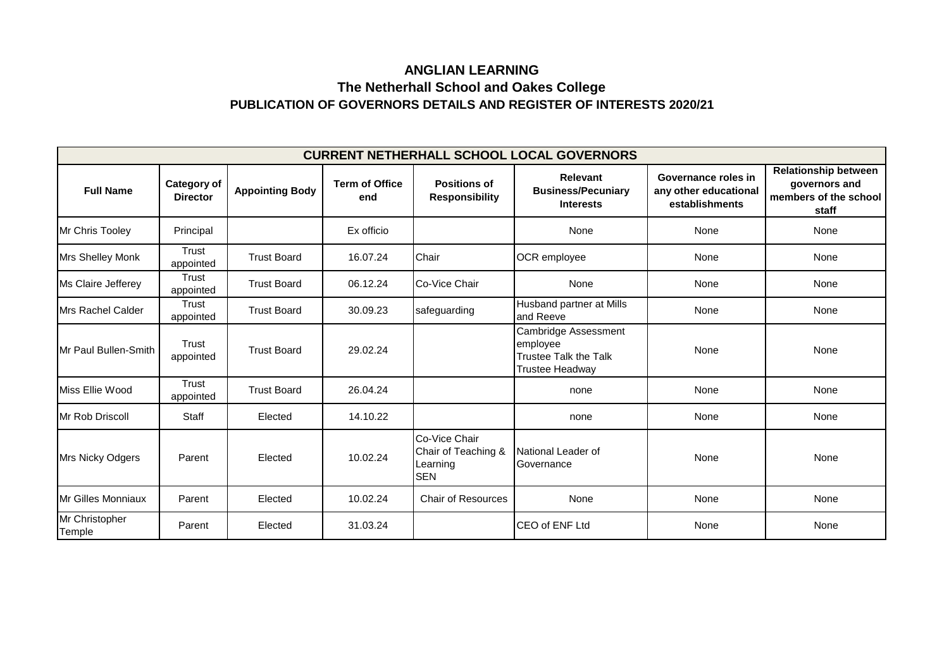## **PUBLICATION OF GOVERNORS DETAILS AND REGISTER OF INTERESTS 2020/21 ANGLIAN LEARNING The Netherhall School and Oakes College**

| <b>CURRENT NETHERHALL SCHOOL LOCAL GOVERNORS</b> |                                       |                        |                              |                                                                |                                                                                     |                                                                |                                                                                |  |  |  |  |
|--------------------------------------------------|---------------------------------------|------------------------|------------------------------|----------------------------------------------------------------|-------------------------------------------------------------------------------------|----------------------------------------------------------------|--------------------------------------------------------------------------------|--|--|--|--|
| <b>Full Name</b>                                 | <b>Category of</b><br><b>Director</b> | <b>Appointing Body</b> | <b>Term of Office</b><br>end | <b>Positions of</b><br><b>Responsibility</b>                   | <b>Relevant</b><br><b>Business/Pecuniary</b><br><b>Interests</b>                    | Governance roles in<br>any other educational<br>establishments | <b>Relationship between</b><br>governors and<br>members of the school<br>staff |  |  |  |  |
| <b>Mr Chris Tooley</b>                           | Principal                             |                        | Ex officio                   |                                                                | None                                                                                | None                                                           | None                                                                           |  |  |  |  |
| <b>Mrs Shelley Monk</b>                          | Trust<br>appointed                    | <b>Trust Board</b>     | 16.07.24                     | Chair                                                          | OCR employee                                                                        | None                                                           | None                                                                           |  |  |  |  |
| Ms Claire Jefferey                               | <b>Trust</b><br>appointed             | <b>Trust Board</b>     | 06.12.24                     | <b>ICo-Vice Chair</b>                                          | None                                                                                | None                                                           | None                                                                           |  |  |  |  |
| Mrs Rachel Calder                                | Trust<br>appointed                    | <b>Trust Board</b>     | 30.09.23                     | safeguarding                                                   | Husband partner at Mills<br>and Reeve                                               | None                                                           | None                                                                           |  |  |  |  |
| Mr Paul Bullen-Smith                             | Trust<br>appointed                    | <b>Trust Board</b>     | 29.02.24                     |                                                                | Cambridge Assessment<br>employee<br>Trustee Talk the Talk<br><b>Trustee Headway</b> | None                                                           | None                                                                           |  |  |  |  |
| Miss Ellie Wood                                  | Trust<br>appointed                    | <b>Trust Board</b>     | 26.04.24                     |                                                                | none                                                                                | None                                                           | None                                                                           |  |  |  |  |
| Mr Rob Driscoll                                  | <b>Staff</b>                          | Elected                | 14.10.22                     |                                                                | none                                                                                | None                                                           | None                                                                           |  |  |  |  |
| <b>Mrs Nicky Odgers</b>                          | Parent                                | Elected                | 10.02.24                     | Co-Vice Chair<br>Chair of Teaching &<br>Learning<br><b>SEN</b> | National Leader of<br>Governance                                                    | None                                                           | None                                                                           |  |  |  |  |
| <b>Mr Gilles Monniaux</b>                        | Parent                                | Elected                | 10.02.24                     | <b>Chair of Resources</b>                                      | None                                                                                | None                                                           | None                                                                           |  |  |  |  |
| Mr Christopher<br>Temple                         | Parent                                | Elected                | 31.03.24                     |                                                                | CEO of ENF Ltd                                                                      | None                                                           | None                                                                           |  |  |  |  |